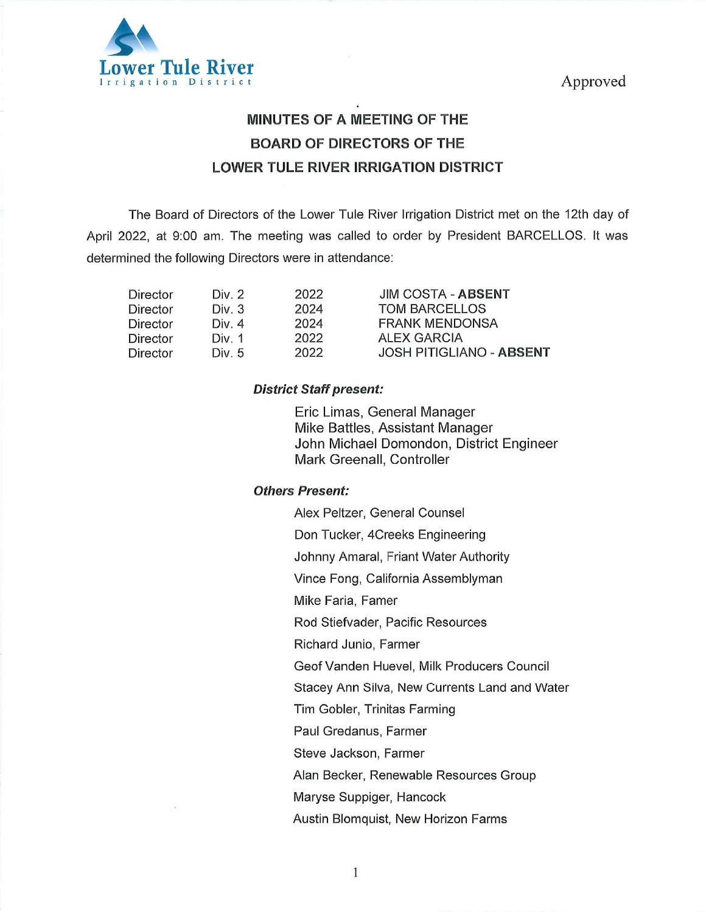

# MINUTES OF A MEETING OF THE BOARD OF DIRECTORS OF THE LOWER TULE RIVER IRRIGATION DISTRICT

The Board of Directors of the Lower Tule River Irrigation District met on the 12th day of April 2022, at 9:00 am. The meeting was called to order by President BARCELLOS. It was determined the following Directors were in attendance:

| Div. 2 | 2022 | <b>JIM COSTA - ABSENT</b>       |
|--------|------|---------------------------------|
| Div. 3 | 2024 | <b>TOM BARCELLOS</b>            |
| Div. 4 | 2024 | <b>FRANK MENDONSA</b>           |
| Div. 1 | 2022 | <b>ALEX GARCIA</b>              |
| Div. 5 | 2022 | <b>JOSH PITIGLIANO - ABSENT</b> |
|        |      |                                 |

## District Staff present:

Eric Limas, General Manager Mike Battles, Assistant Manager John Michael Domondon, District Engineer Mark Greenall, Controller

## Others Present:

Alex Peltzer, General Counsel Don Tucker, 4Creeks Engineering Johnny Amaral, Friant Water Authority Vince Fong, California Assemblyman Mike Faria, Famer Rod Stiefvader, Pacific Resources Richard Junio, Farmer GeofVanden Huevel, Milk Producers Council Stacey Ann Silva, New Currents Land and Water Tim Gobler, Trinitas Farming Paul Gredanus, Farmer Steve Jackson, Farmer Alan Becker, Renewable Resources Group Maryse Suppiger, Hancock

Austin Blomquist, New Horizon Farms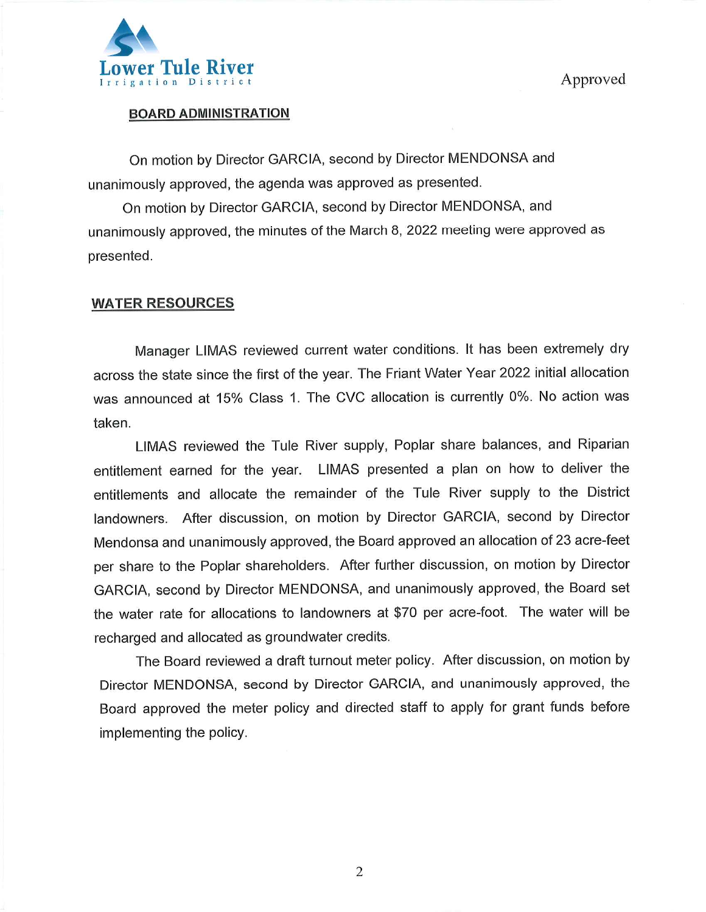

## BOARD ADMINISTRATION

On motion by Director GARCIA, second by Director MENDONSA and unanimously approved, the agenda was approved as presented.

On motion by Director GARCIA, second by Director MENDONSA, and unanimously approved, the minutes of the March 8, 2022 meeting were approved as presented.

## WATER RESOURCES

Manager LIMAS reviewed current water conditions. It has been extremely dry across the state since the first of the year. The Friant Water Year 2022 initial allocation was announced at 15% Class 1. The CVC allocation is currently 0%. No action was taken.

LIMAS reviewed the Tule River supply, Poplar share balances, and Riparian entitlement earned for the year. LIMAS presented a plan on how to deliver the entitlements and allocate the remainder of the Tule River supply to the District landowners. After discussion, on motion by Director GARCIA, second by Director Mendonsa and unanimously approved, the Board approved an allocation of 23 acre-feet per share to the Poplar shareholders. After further discussion, on motion by Director GARCIA, second by Director MENDONSA, and unanimously approved, the Board set the water rate for allocations to landowners at \$70 per acre-foot. The water will be recharged and allocated as groundwater credits.

The Board reviewed a draft turnout meter policy. After discussion, on motion by Director MENDONSA, second by Director GARCIA, and unanimously approved, the Board approved the meter policy and directed staff to apply for grant funds before implementing the policy.

 $\overline{2}$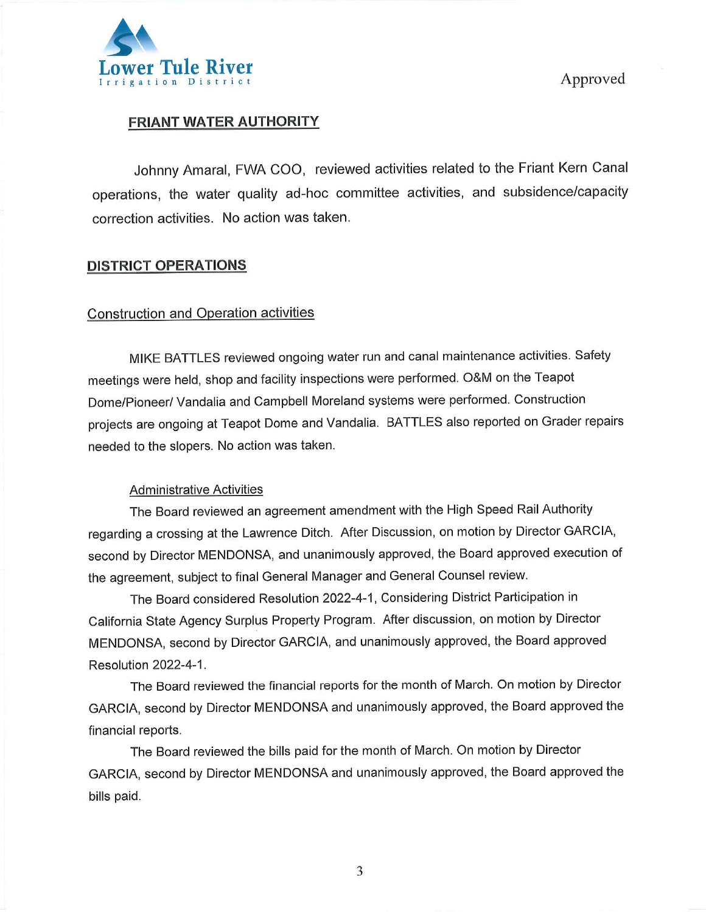

# FRIANT WATER AUTHORITY

Johnny Amaral, FWA COO, reviewed activities related to the Friant Kern Canai operations, the water quality ad-hoc committee activities, and subsidence/capacity correction activities. No action was taken.

## DISTRICT OPERATIONS

# Construction and Operation activities

MIKE BATTLES reviewed ongoing water run and canal maintenance activities. Safety meetings were held, shop and facility inspections were performed. O&M on the Teapot Dome/Pioneer/Vandalia and Campbell Moreland systems were performed. Construction projects are ongoing at Teapot Dome and Vandalia. BATTLES also reported on Grader repairs needed to the siopers. No action was taken.

#### Administrative Activities

The Board reviewed an agreement amendment with the High Speed Rail Authority regarding a crossing at the Lawrence Ditch. After Discussion, on motion by Director GARCIA, second by Director MENDONSA, and unanimously approved, the Board approved execution of the agreement, subject to final General Manager and General Counsel review.

The Board considered Resolution 2022-4-1 , Considering District Participation in California State Agency Surplus Property Program. After discussion, on motion by Director MENDONSA, second by Director GARCIA, and unanimously approved, the Board approved Resolution 2022-4-1.

The Board reviewed the financial reports for the month of March. On motion by Director GARCIA, second by Director MENDONSA and unanimously approved, the Board approved the financial reports.

The Board reviewed the bills paid for the month of March. On motion by Director GARCIA, second by Director MENDONSA and unanimously approved, the Board approved the bills paid.

3